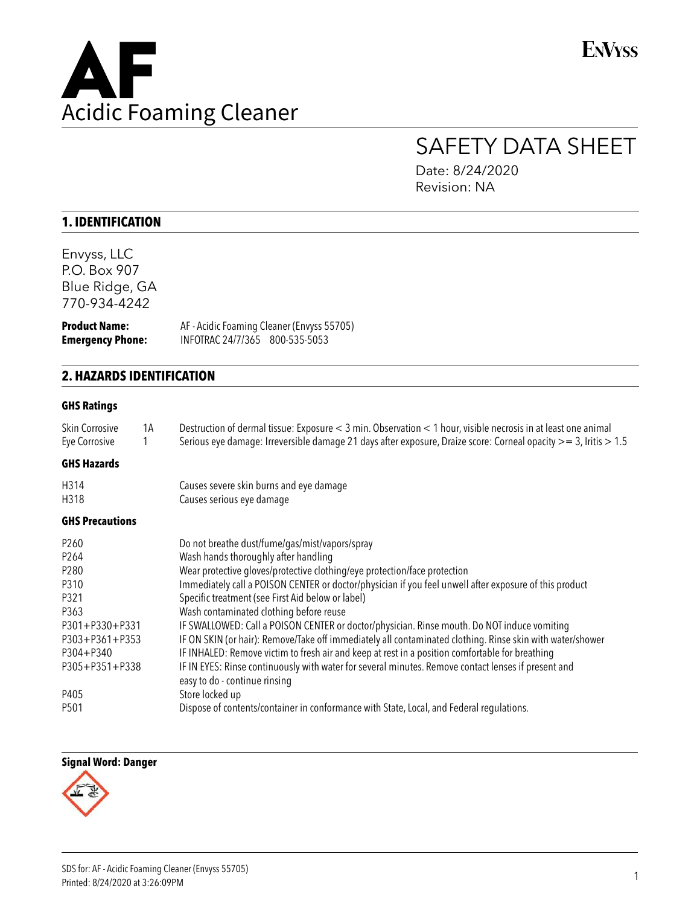

**ENVYSS** 

# SAFETY DATA SHEET

Date: 8/24/2020 Revision: NA

# **1. IDENTIFICATION**

Envyss, LLC P.O. Box 907 Blue Ridge, GA 770-934-4242

**Product Name:** AF - Acidic Foaming Cleaner (Envyss 55705) **Emergency Phone:** INFOTRAC 24/7/365 800-535-5053

## **2. HAZARDS IDENTIFICATION**

#### **GHS Ratings**

| 1A                     | Destruction of dermal tissue: Exposure < 3 min. Observation < 1 hour, visible necrosis in at least one animal<br>Serious eye damage: Irreversible damage 21 days after exposure, Draize score: Corneal opacity >= 3, Iritis > 1.5 |
|------------------------|-----------------------------------------------------------------------------------------------------------------------------------------------------------------------------------------------------------------------------------|
|                        |                                                                                                                                                                                                                                   |
|                        | Causes severe skin burns and eye damage                                                                                                                                                                                           |
|                        | Causes serious eye damage                                                                                                                                                                                                         |
| <b>GHS Precautions</b> |                                                                                                                                                                                                                                   |
|                        | Do not breathe dust/fume/gas/mist/vapors/spray                                                                                                                                                                                    |
|                        | Wash hands thoroughly after handling                                                                                                                                                                                              |
|                        | Wear protective gloves/protective clothing/eye protection/face protection                                                                                                                                                         |
|                        | Immediately call a POISON CENTER or doctor/physician if you feel unwell after exposure of this product                                                                                                                            |
|                        | Specific treatment (see First Aid below or label)                                                                                                                                                                                 |
|                        | Wash contaminated clothing before reuse                                                                                                                                                                                           |
| P301+P330+P331         | IF SWALLOWED: Call a POISON CENTER or doctor/physician. Rinse mouth. Do NOT induce vomiting                                                                                                                                       |
| P303+P361+P353         | IF ON SKIN (or hair): Remove/Take off immediately all contaminated clothing. Rinse skin with water/shower                                                                                                                         |
|                        | IF INHALED: Remove victim to fresh air and keep at rest in a position comfortable for breathing                                                                                                                                   |
| P305+P351+P338         | IF IN EYES: Rinse continuously with water for several minutes. Remove contact lenses if present and<br>easy to do - continue rinsing                                                                                              |
|                        | Store locked up                                                                                                                                                                                                                   |
|                        | Dispose of contents/container in conformance with State, Local, and Federal regulations.                                                                                                                                          |
|                        |                                                                                                                                                                                                                                   |

#### **Signal Word: Danger**

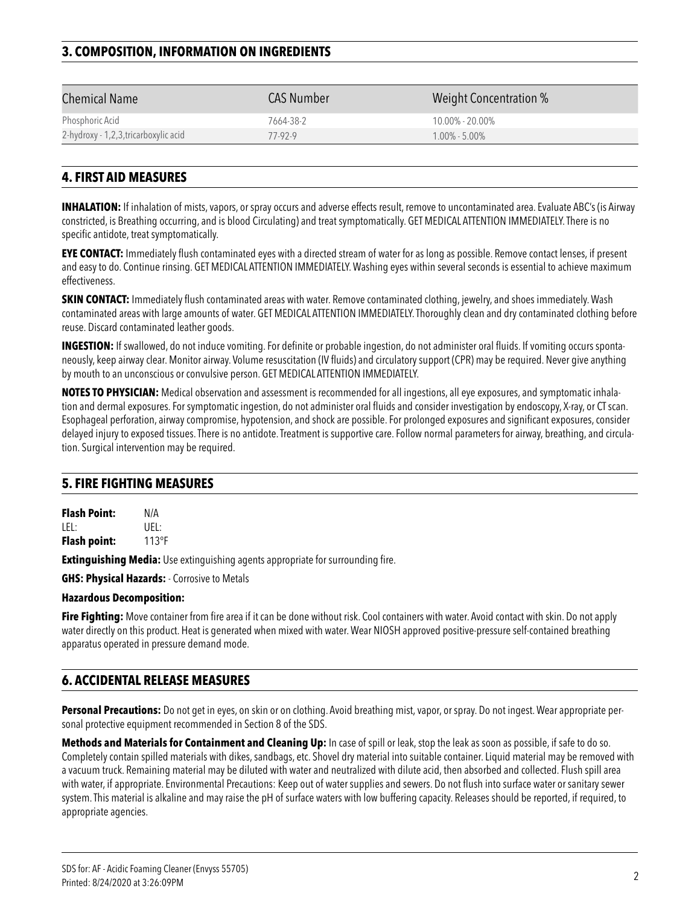# **3. COMPOSITION, INFORMATION ON INGREDIENTS**

| <b>Chemical Name</b>                 | CAS Number | Weight Concentration % |
|--------------------------------------|------------|------------------------|
| Phosphoric Acid                      | 7664-38-2  | $10.00\% - 20.00\%$    |
| 2-hydroxy - 1,2,3,tricarboxylic acid | 77-92-9    | $1.00\% - 5.00\%$      |
|                                      |            |                        |

## **4. FIRST AID MEASURES**

**INHALATION:** If inhalation of mists, vapors, or spray occurs and adverse effects result, remove to uncontaminated area. Evaluate ABC's (is Airway constricted, is Breathing occurring, and is blood Circulating) and treat symptomatically. GET MEDICAL ATTENTION IMMEDIATELY. There is no specific antidote, treat symptomatically.

**EYE CONTACT:** Immediately flush contaminated eyes with a directed stream of water for as long as possible. Remove contact lenses, if present and easy to do. Continue rinsing. GET MEDICAL ATTENTION IMMEDIATELY. Washing eyes within several seconds is essential to achieve maximum effectiveness.

**SKIN CONTACT:** Immediately flush contaminated areas with water. Remove contaminated clothing, jewelry, and shoes immediately. Wash contaminated areas with large amounts of water. GET MEDICAL ATTENTION IMMEDIATELY. Thoroughly clean and dry contaminated clothing before reuse. Discard contaminated leather goods.

**INGESTION:** If swallowed, do not induce vomiting. For definite or probable ingestion, do not administer oral fluids. If vomiting occurs spontaneously, keep airway clear. Monitor airway. Volume resuscitation (IV fluids) and circulatory support (CPR) may be required. Never give anything by mouth to an unconscious or convulsive person. GET MEDICAL ATTENTION IMMEDIATELY.

**NOTES TO PHYSICIAN:** Medical observation and assessment is recommended for all ingestions, all eye exposures, and symptomatic inhalation and dermal exposures. For symptomatic ingestion, do not administer oral fluids and consider investigation by endoscopy, X-ray, or CT scan. Esophageal perforation, airway compromise, hypotension, and shock are possible. For prolonged exposures and significant exposures, consider delayed injury to exposed tissues. There is no antidote. Treatment is supportive care. Follow normal parameters for airway, breathing, and circulation. Surgical intervention may be required.

## **5. FIRE FIGHTING MEASURES**

**Flash Point:** N/A LEL: UEL: **Flash point:** 113°F

**Extinguishing Media:** Use extinguishing agents appropriate for surrounding fire.

**GHS: Physical Hazards:** - Corrosive to Metals

#### **Hazardous Decomposition:**

**Fire Fighting:** Move container from fire area if it can be done without risk. Cool containers with water. Avoid contact with skin. Do not apply water directly on this product. Heat is generated when mixed with water. Wear NIOSH approved positive-pressure self-contained breathing apparatus operated in pressure demand mode.

## **6. ACCIDENTAL RELEASE MEASURES**

**Personal Precautions:** Do not get in eyes, on skin or on clothing. Avoid breathing mist, vapor, or spray. Do not ingest. Wear appropriate personal protective equipment recommended in Section 8 of the SDS.

**Methods and Materials for Containment and Cleaning Up:** In case of spill or leak, stop the leak as soon as possible, if safe to do so. Completely contain spilled materials with dikes, sandbags, etc. Shovel dry material into suitable container. Liquid material may be removed with a vacuum truck. Remaining material may be diluted with water and neutralized with dilute acid, then absorbed and collected. Flush spill area with water, if appropriate. Environmental Precautions: Keep out of water supplies and sewers. Do not flush into surface water or sanitary sewer system. This material is alkaline and may raise the pH of surface waters with low buffering capacity. Releases should be reported, if required, to appropriate agencies.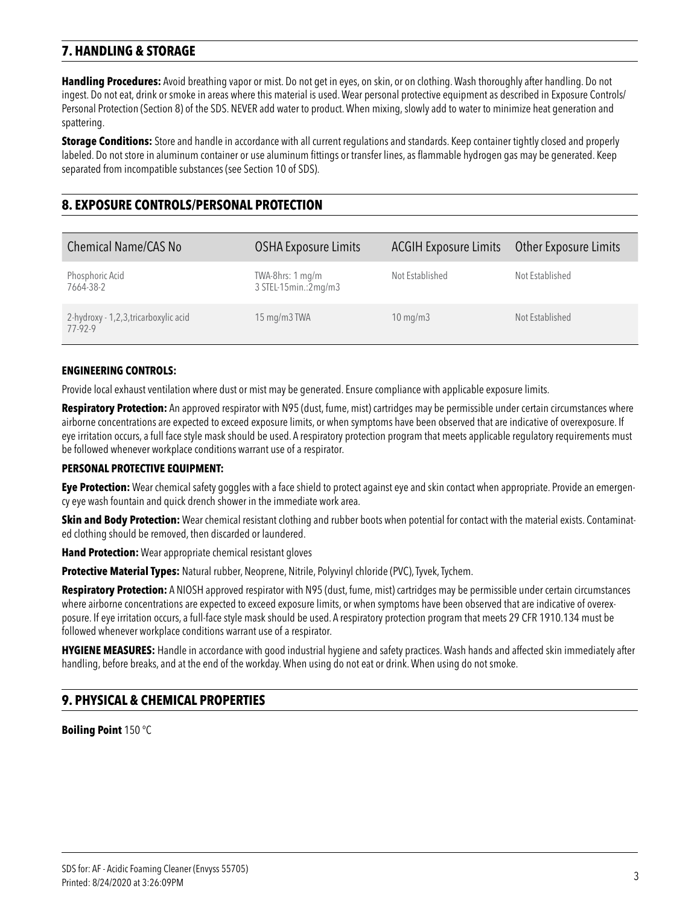# **7. HANDLING & STORAGE**

**Handling Procedures:** Avoid breathing vapor or mist. Do not get in eyes, on skin, or on clothing. Wash thoroughly after handling. Do not ingest. Do not eat, drink or smoke in areas where this material is used. Wear personal protective equipment as described in Exposure Controls/ Personal Protection (Section 8) of the SDS. NEVER add water to product. When mixing, slowly add to water to minimize heat generation and spattering.

**Storage Conditions:** Store and handle in accordance with all current regulations and standards. Keep container tightly closed and properly labeled. Do not store in aluminum container or use aluminum fittings or transfer lines, as flammable hydrogen gas may be generated. Keep separated from incompatible substances (see Section 10 of SDS).

# **8. EXPOSURE CONTROLS/PERSONAL PROTECTION**

| <b>Chemical Name/CAS No</b>                      | <b>OSHA Exposure Limits</b>              | <b>ACGIH Exposure Limits</b> | Other Exposure Limits |
|--------------------------------------------------|------------------------------------------|------------------------------|-----------------------|
| Phosphoric Acid<br>7664-38-2                     | TWA-8hrs: 1 mg/m<br>3 STEL-15min.:2mg/m3 | Not Established              | Not Established       |
| 2-hydroxy - 1,2,3, tricarboxylic acid<br>77-92-9 | 15 mg/m3 TWA                             | $10 \text{ mg/m}$            | Not Established       |

#### **ENGINEERING CONTROLS:**

Provide local exhaust ventilation where dust or mist may be generated. Ensure compliance with applicable exposure limits.

**Respiratory Protection:** An approved respirator with N95 (dust, fume, mist) cartridges may be permissible under certain circumstances where airborne concentrations are expected to exceed exposure limits, or when symptoms have been observed that are indicative of overexposure. If eye irritation occurs, a full face style mask should be used. A respiratory protection program that meets applicable regulatory requirements must be followed whenever workplace conditions warrant use of a respirator.

#### **PERSONAL PROTECTIVE EQUIPMENT:**

**Eye Protection:** Wear chemical safety goggles with a face shield to protect against eye and skin contact when appropriate. Provide an emergency eye wash fountain and quick drench shower in the immediate work area.

**Skin and Body Protection:** Wear chemical resistant clothing and rubber boots when potential for contact with the material exists. Contaminated clothing should be removed, then discarded or laundered.

**Hand Protection:** Wear appropriate chemical resistant gloves

**Protective Material Types:** Natural rubber, Neoprene, Nitrile, Polyvinyl chloride (PVC), Tyvek, Tychem.

**Respiratory Protection:** A NIOSH approved respirator with N95 (dust, fume, mist) cartridges may be permissible under certain circumstances where airborne concentrations are expected to exceed exposure limits, or when symptoms have been observed that are indicative of overexposure. If eye irritation occurs, a full-face style mask should be used. A respiratory protection program that meets 29 CFR 1910.134 must be followed whenever workplace conditions warrant use of a respirator.

**HYGIENE MEASURES:** Handle in accordance with good industrial hygiene and safety practices. Wash hands and affected skin immediately after handling, before breaks, and at the end of the workday. When using do not eat or drink. When using do not smoke.

## **9. PHYSICAL & CHEMICAL PROPERTIES**

**Boiling Point** 150 °C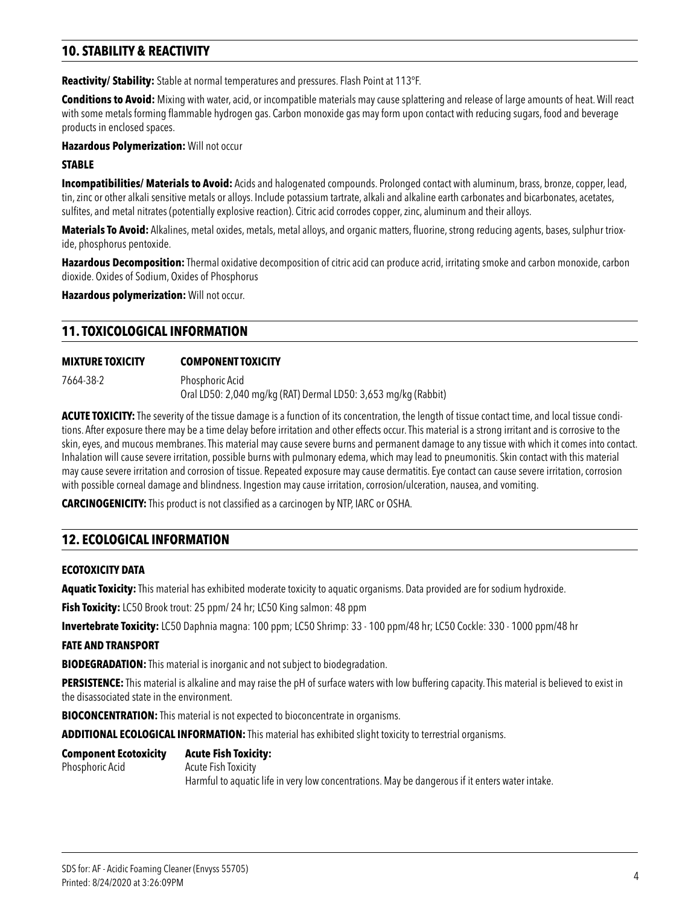# **10. STABILITY & REACTIVITY**

**Reactivity/ Stability:** Stable at normal temperatures and pressures. Flash Point at 113°F.

**Conditions to Avoid:** Mixing with water, acid, or incompatible materials may cause splattering and release of large amounts of heat. Will react with some metals forming flammable hydrogen gas. Carbon monoxide gas may form upon contact with reducing sugars, food and beverage products in enclosed spaces.

**Hazardous Polymerization:** Will not occur

#### **STABLE**

**Incompatibilities/ Materials to Avoid:** Acids and halogenated compounds. Prolonged contact with aluminum, brass, bronze, copper, lead, tin, zinc or other alkali sensitive metals or alloys. Include potassium tartrate, alkali and alkaline earth carbonates and bicarbonates, acetates, sulfites, and metal nitrates (potentially explosive reaction). Citric acid corrodes copper, zinc, aluminum and their alloys.

Materials To Avoid: Alkalines, metal oxides, metals, metal alloys, and organic matters, fluorine, strong reducing agents, bases, sulphur trioxide, phosphorus pentoxide.

**Hazardous Decomposition:** Thermal oxidative decomposition of citric acid can produce acrid, irritating smoke and carbon monoxide, carbon dioxide. Oxides of Sodium, Oxides of Phosphorus

**Hazardous polymerization:** Will not occur.

## **11. TOXICOLOGICAL INFORMATION**

#### **MIXTURE TOXICITY COMPONENT TOXICITY**

7664-38-2 Phosphoric Acid Oral LD50: 2,040 mg/kg (RAT) Dermal LD50: 3,653 mg/kg (Rabbit)

**ACUTE TOXICITY:** The severity of the tissue damage is a function of its concentration, the length of tissue contact time, and local tissue conditions. After exposure there may be a time delay before irritation and other effects occur. This material is a strong irritant and is corrosive to the skin, eyes, and mucous membranes. This material may cause severe burns and permanent damage to any tissue with which it comes into contact. Inhalation will cause severe irritation, possible burns with pulmonary edema, which may lead to pneumonitis. Skin contact with this material may cause severe irritation and corrosion of tissue. Repeated exposure may cause dermatitis. Eye contact can cause severe irritation, corrosion with possible corneal damage and blindness. Ingestion may cause irritation, corrosion/ulceration, nausea, and vomiting.

**CARCINOGENICITY:** This product is not classified as a carcinogen by NTP, IARC or OSHA.

## **12. ECOLOGICAL INFORMATION**

#### **ECOTOXICITY DATA**

**Aquatic Toxicity:** This material has exhibited moderate toxicity to aquatic organisms. Data provided are for sodium hydroxide.

**Fish Toxicity:** LC50 Brook trout: 25 ppm/ 24 hr; LC50 King salmon: 48 ppm

**Invertebrate Toxicity:** LC50 Daphnia magna: 100 ppm; LC50 Shrimp: 33 - 100 ppm/48 hr; LC50 Cockle: 330 - 1000 ppm/48 hr

#### **FATE AND TRANSPORT**

**BIODEGRADATION:** This material is inorganic and not subject to biodegradation.

**PERSISTENCE:** This material is alkaline and may raise the pH of surface waters with low buffering capacity. This material is believed to exist in the disassociated state in the environment.

**BIOCONCENTRATION:** This material is not expected to bioconcentrate in organisms.

**ADDITIONAL ECOLOGICAL INFORMATION:** This material has exhibited slight toxicity to terrestrial organisms.

## **Component Ecotoxicity Acute Fish Toxicity:**

#### Phosphoric Acid Acute Fish Toxicity

Harmful to aquatic life in very low concentrations. May be dangerous if it enters water intake.